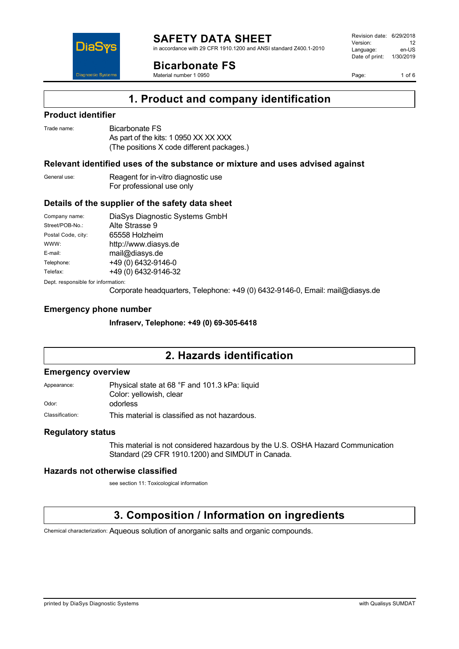

in accordance with 29 CFR 1910.1200 and ANSI standard Z400.1-2010



**Bicarbonate FS**

Material number 1 0950

Revision date: 6/29/2018 Version: 12<br>Language: en-LIS Language: Date of print: 1/30/2019

Page: 1 of 6

## **1. Product and company identification**

### **Product identifier**

| Trade name: | Bicarbonate FS                             |
|-------------|--------------------------------------------|
|             | As part of the kits: 1 0950 XX XX XXX      |
|             | (The positions X code different packages.) |

### **Relevant identified uses of the substance or mixture and uses advised against**

| General use: | Reagent for in-vitro diagnostic use |  |
|--------------|-------------------------------------|--|
|              | For professional use only           |  |

### **Details of the supplier of the safety data sheet**

| Company name:                      | DiaSys Diagnostic Systems GmbH |  |
|------------------------------------|--------------------------------|--|
| Street/POB-No.:                    | Alte Strasse 9                 |  |
| Postal Code, city:                 | 65558 Holzheim                 |  |
| WWW:                               | http://www.diasys.de           |  |
| E-mail:                            | mail@diasys.de                 |  |
| Telephone:                         | +49 (0) 6432-9146-0            |  |
| Telefax:                           | +49 (0) 6432-9146-32           |  |
| Dept. responsible for information: |                                |  |

Corporate headquarters, Telephone: +49 (0) 6432-9146-0, Email: mail@diasys.de

### **Emergency phone number**

**Infraserv, Telephone: +49 (0) 69-305-6418**

## **2. Hazards identification**

#### **Emergency overview**

Appearance: Physical state at 68 °F and 101.3 kPa: liquid Color: yellowish, clear Odor: odorless

Classification: This material is classified as not hazardous.

#### **Regulatory status**

This material is not considered hazardous by the U.S. OSHA Hazard Communication Standard (29 CFR 1910.1200) and SIMDUT in Canada.

#### **Hazards not otherwise classified**

see section 11: Toxicological information

# **3. Composition / Information on ingredients**

Chemical characterization: Aqueous solution of anorganic salts and organic compounds.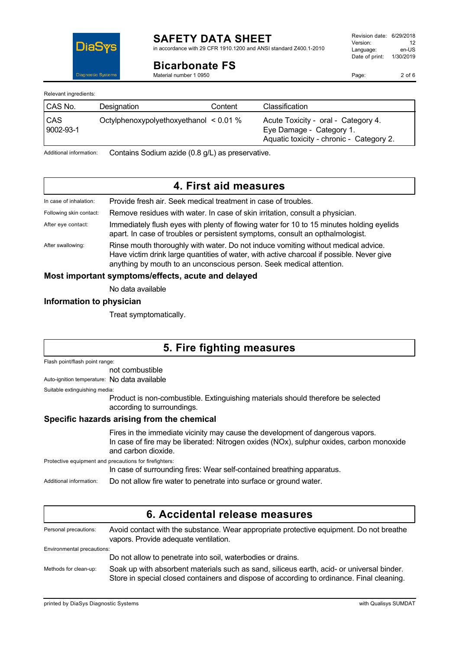

# **SAFETY DATA SHEET**

in accordance with 29 CFR 1910.1200 and ANSI standard Z400.1-2010

**Bicarbonate FS**

Material number 1 0950

Page: 2 of 6

Relevant ingredients:

| CAS No.          | Designation                            | Content | Classification                                                                                              |
|------------------|----------------------------------------|---------|-------------------------------------------------------------------------------------------------------------|
| CAS<br>9002-93-1 | Octylphenoxypolyethoxyethanol < 0.01 % |         | Acute Toxicity - oral - Category 4.<br>Eye Damage - Category 1.<br>Aquatic toxicity - chronic - Category 2. |

Additional information: Contains Sodium azide (0.8 g/L) as preservative.

## **4. First aid measures**

| In case of inhalation:                             | Provide fresh air. Seek medical treatment in case of troubles.                                                                                                                                                                                        |  |
|----------------------------------------------------|-------------------------------------------------------------------------------------------------------------------------------------------------------------------------------------------------------------------------------------------------------|--|
| Following skin contact:                            | Remove residues with water. In case of skin irritation, consult a physician.                                                                                                                                                                          |  |
| After eye contact:                                 | Immediately flush eyes with plenty of flowing water for 10 to 15 minutes holding eyelids<br>apart. In case of troubles or persistent symptoms, consult an opthalmologist.                                                                             |  |
| After swallowing:                                  | Rinse mouth thoroughly with water. Do not induce vomiting without medical advice.<br>Have victim drink large quantities of water, with active charcoal if possible. Never give<br>anything by mouth to an unconscious person. Seek medical attention. |  |
| Most important symptoms/effects, acute and delayed |                                                                                                                                                                                                                                                       |  |

No data available

### **Information to physician**

Treat symptomatically.

# **5. Fire fighting measures**

Flash point/flash point range:

not combustible

Auto-ignition temperature: No data available

Suitable extinguishing media:

Product is non-combustible. Extinguishing materials should therefore be selected according to surroundings.

### **Specific hazards arising from the chemical**

Fires in the immediate vicinity may cause the development of dangerous vapors. In case of fire may be liberated: Nitrogen oxides (NOx), sulphur oxides, carbon monoxide and carbon dioxide.

Protective equipment and precautions for firefighters:

In case of surrounding fires: Wear self-contained breathing apparatus.

Additional information: Do not allow fire water to penetrate into surface or ground water.

| 6. Accidental release measures |                                                                                                                                                                                        |  |
|--------------------------------|----------------------------------------------------------------------------------------------------------------------------------------------------------------------------------------|--|
| Personal precautions:          | Avoid contact with the substance. Wear appropriate protective equipment. Do not breathe<br>vapors. Provide adequate ventilation.                                                       |  |
| Environmental precautions:     |                                                                                                                                                                                        |  |
|                                | Do not allow to penetrate into soil, waterbodies or drains.                                                                                                                            |  |
| Methods for clean-up:          | Soak up with absorbent materials such as sand, siliceus earth, acid- or universal binder.<br>Store in special closed containers and dispose of according to ordinance. Final cleaning. |  |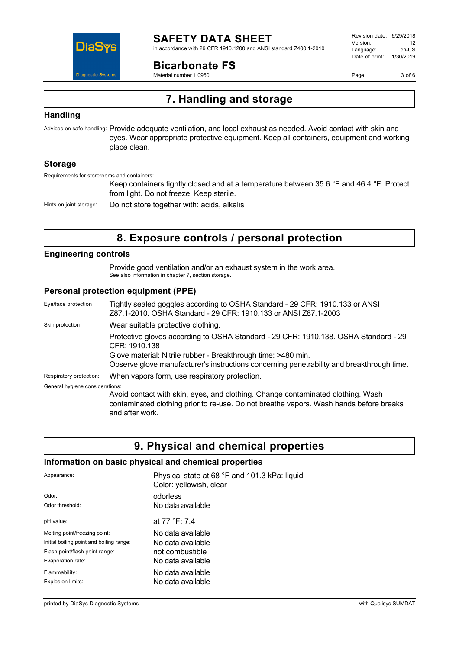

## **SAFETY DATA SHEET**

in accordance with 29 CFR 1910.1200 and ANSI standard Z400.1-2010

**Bicarbonate FS**

Material number 1 0950

Revision date: 6/29/2018 Version: 12<br>Language: en-LIS Language: Date of print: 1/30/2019

Page: 3 of 6

# **7. Handling and storage**

### **Handling**

Advices on safe handling: Provide adequate ventilation, and local exhaust as needed. Avoid contact with skin and eyes. Wear appropriate protective equipment. Keep all containers, equipment and working place clean.

### **Storage**

Requirements for storerooms and containers:

Keep containers tightly closed and at a temperature between 35.6 °F and 46.4 °F. Protect from light. Do not freeze. Keep sterile.

Hints on joint storage: Do not store together with: acids, alkalis

## **8. Exposure controls / personal protection**

### **Engineering controls**

Provide good ventilation and/or an exhaust system in the work area. See also information in chapter 7, section storage.

### **Personal protection equipment (PPE)**

| Eye/face protection             | Tightly sealed goggles according to OSHA Standard - 29 CFR: 1910.133 or ANSI<br>Z87.1-2010. OSHA Standard - 29 CFR: 1910.133 or ANSI Z87.1-2003                                              |
|---------------------------------|----------------------------------------------------------------------------------------------------------------------------------------------------------------------------------------------|
| Skin protection                 | Wear suitable protective clothing.                                                                                                                                                           |
|                                 | Protective gloves according to OSHA Standard - 29 CFR: 1910.138. OSHA Standard - 29<br>CFR: 1910.138                                                                                         |
|                                 | Glove material: Nitrile rubber - Breakthrough time: >480 min.<br>Observe glove manufacturer's instructions concerning penetrability and breakthrough time.                                   |
| Respiratory protection:         | When vapors form, use respiratory protection.                                                                                                                                                |
| General hygiene considerations: |                                                                                                                                                                                              |
|                                 | Avoid contact with skin, eyes, and clothing. Change contaminated clothing. Wash<br>contaminated clothing prior to re-use. Do not breathe vapors. Wash hands before breaks<br>and after work. |

## **9. Physical and chemical properties**

### **Information on basic physical and chemical properties**

| Appearance:                              | Physical state at 68 °F and 101.3 kPa: liquid<br>Color: yellowish, clear |
|------------------------------------------|--------------------------------------------------------------------------|
| Odor:                                    | odorless                                                                 |
| Odor threshold:                          | No data available                                                        |
| pH value:                                | at 77 °F: 7.4                                                            |
| Melting point/freezing point:            | No data available                                                        |
| Initial boiling point and boiling range: | No data available                                                        |
| Flash point/flash point range:           | not combustible                                                          |
| Evaporation rate:                        | No data available                                                        |
| Flammability:                            | No data available                                                        |
| Explosion limits:                        | No data available                                                        |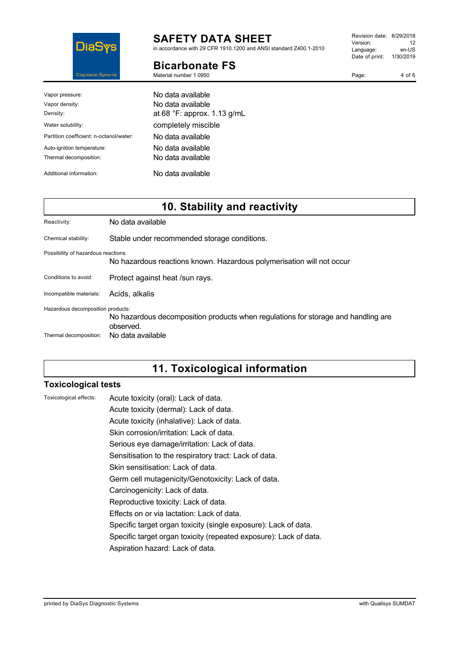

# **SAFETY DATA SHEET**

in accordance with 29 CFR 1910.1200 and ANSI standard Z400.1-2010

### **Bicarbonate FS**

Material number 1 0950

| Vapor pressure:                         | No data available.                   |
|-----------------------------------------|--------------------------------------|
| Vapor density:                          | No data available                    |
| Density:                                | at 68 $\degree$ F: approx. 1.13 g/mL |
| Water solubility:                       | completely miscible                  |
| Partition coefficient: n-octanol/water: | No data available                    |
| Auto-ignition temperature:              | No data available.                   |
| Thermal decomposition:                  | No data available                    |
| Additional information:                 | No data available                    |

# **10. Stability and reactivity**

| Reactivity:                        | No data available                                                                              |
|------------------------------------|------------------------------------------------------------------------------------------------|
| Chemical stability:                | Stable under recommended storage conditions.                                                   |
| Possibility of hazardous reactions | No hazardous reactions known. Hazardous polymerisation will not occur                          |
| Conditions to avoid:               | Protect against heat /sun rays.                                                                |
| Incompatible materials:            | Acids, alkalis                                                                                 |
| Hazardous decomposition products:  | No hazardous decomposition products when regulations for storage and handling are<br>observed. |
| Thermal decomposition:             | No data available                                                                              |

# **11. Toxicological information**

### **Toxicological tests**

| Toxicological effects: | Acute toxicity (oral): Lack of data.                              |
|------------------------|-------------------------------------------------------------------|
|                        | Acute toxicity (dermal): Lack of data.                            |
|                        | Acute toxicity (inhalative): Lack of data.                        |
|                        | Skin corrosion/irritation: Lack of data.                          |
|                        | Serious eye damage/irritation: Lack of data.                      |
|                        | Sensitisation to the respiratory tract: Lack of data.             |
|                        | Skin sensitisation: Lack of data.                                 |
|                        | Germ cell mutagenicity/Genotoxicity: Lack of data.                |
|                        | Carcinogenicity: Lack of data.                                    |
|                        | Reproductive toxicity: Lack of data.                              |
|                        | Effects on or via lactation: Lack of data.                        |
|                        | Specific target organ toxicity (single exposure): Lack of data.   |
|                        | Specific target organ toxicity (repeated exposure): Lack of data. |
|                        | Aspiration hazard: Lack of data.                                  |
|                        |                                                                   |

Revision date: 6/29/2018 Version: 12<br>
Language: en-US Language: Date of print: 1/30/2019

Page: 4 of 6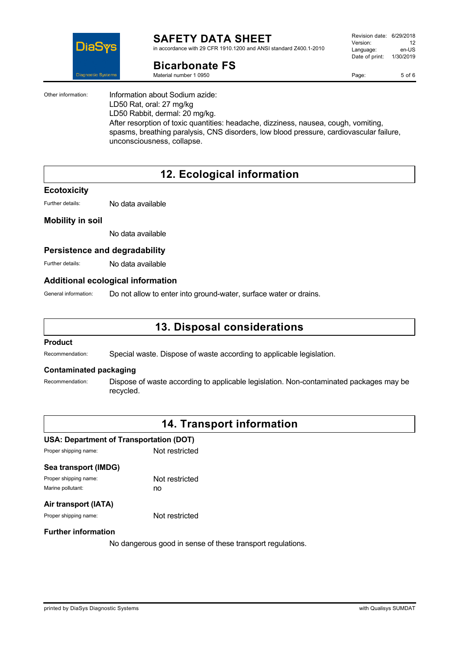

#### **SAFETY DATA SHEET** in accordance with 29 CFR 1910.1200 and ANSI standard Z400.1-2010

## **Bicarbonate FS**

Material number 1 0950

| Revision date: 6/29/2018 |           |
|--------------------------|-----------|
| Version:                 | 12        |
| Language:                | en-US     |
| Date of print:           | 1/30/2019 |
|                          |           |

Page: 5 of 6

Other information: Information about Sodium azide: LD50 Rat, oral: 27 mg/kg LD50 Rabbit, dermal: 20 mg/kg. After resorption of toxic quantities: headache, dizziness, nausea, cough, vomiting, spasms, breathing paralysis, CNS disorders, low blood pressure, cardiovascular failure, unconsciousness, collapse.

# **12. Ecological information**

#### **Ecotoxicity**

Further details: No data available

### **Mobility in soil**

No data available

### **Persistence and degradability**

Further details: No data available

### **Additional ecological information**

General information: Do not allow to enter into ground-water, surface water or drains.

## **13. Disposal considerations**

#### **Product**

Recommendation: Special waste. Dispose of waste according to applicable legislation.

### **Contaminated packaging**

Recommendation: Dispose of waste according to applicable legislation. Non-contaminated packages may be recycled.

## **14. Transport information**

### **USA: Department of Transportation (DOT)**

| Not restricted |
|----------------|
|                |
| Not restricted |
| no             |
|                |

### **Air transport (IATA)**

Proper shipping name: Not restricted

#### **Further information**

No dangerous good in sense of these transport regulations.